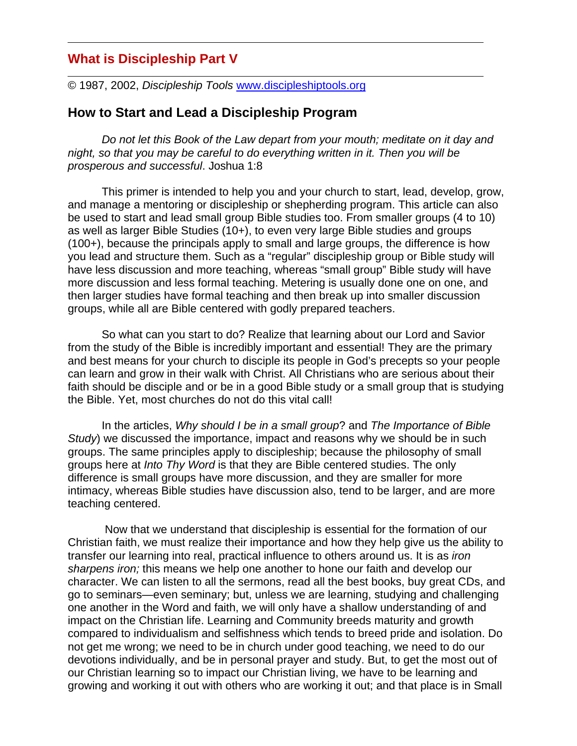# **What is Discipleship Part V**

© 1987, 2002, *Discipleship Tools* www.discipleshiptools.org

# **How to Start and Lead a Discipleship Program**

*Do not let this Book of the Law depart from your mouth; meditate on it day and night, so that you may be careful to do everything written in it. Then you will be prosperous and successful*. Joshua 1:8

This primer is intended to help you and your church to start, lead, develop, grow, and manage a mentoring or discipleship or shepherding program. This article can also be used to start and lead small group Bible studies too. From smaller groups (4 to 10) as well as larger Bible Studies (10+), to even very large Bible studies and groups (100+), because the principals apply to small and large groups, the difference is how you lead and structure them. Such as a "regular" discipleship group or Bible study will have less discussion and more teaching, whereas "small group" Bible study will have more discussion and less formal teaching. Metering is usually done one on one, and then larger studies have formal teaching and then break up into smaller discussion groups, while all are Bible centered with godly prepared teachers.

So what can you start to do? Realize that learning about our Lord and Savior from the study of the Bible is incredibly important and essential! They are the primary and best means for your church to disciple its people in God's precepts so your people can learn and grow in their walk with Christ. All Christians who are serious about their faith should be disciple and or be in a good Bible study or a small group that is studying the Bible. Yet, most churches do not do this vital call!

In the articles, *Why should I be in a small group*? and *The Importance of Bible Study*) we discussed the importance, impact and reasons why we should be in such groups. The same principles apply to discipleship; because the philosophy of small groups here at *Into Thy Word* is that they are Bible centered studies. The only difference is small groups have more discussion, and they are smaller for more intimacy, whereas Bible studies have discussion also, tend to be larger, and are more teaching centered.

 Now that we understand that discipleship is essential for the formation of our Christian faith, we must realize their importance and how they help give us the ability to transfer our learning into real, practical influence to others around us. It is as *iron sharpens iron;* this means we help one another to hone our faith and develop our character. We can listen to all the sermons, read all the best books, buy great CDs, and go to seminars—even seminary; but, unless we are learning, studying and challenging one another in the Word and faith, we will only have a shallow understanding of and impact on the Christian life. Learning and Community breeds maturity and growth compared to individualism and selfishness which tends to breed pride and isolation. Do not get me wrong; we need to be in church under good teaching, we need to do our devotions individually, and be in personal prayer and study. But, to get the most out of our Christian learning so to impact our Christian living, we have to be learning and growing and working it out with others who are working it out; and that place is in Small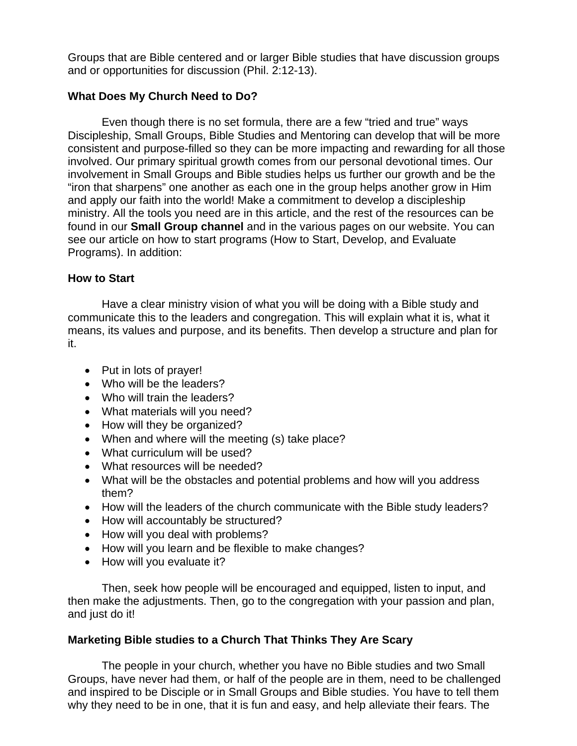Groups that are Bible centered and or larger Bible studies that have discussion groups and or opportunities for discussion (Phil. 2:12-13).

### **What Does My Church Need to Do?**

Even though there is no set formula, there are a few "tried and true" ways Discipleship, Small Groups, Bible Studies and Mentoring can develop that will be more consistent and purpose-filled so they can be more impacting and rewarding for all those involved. Our primary spiritual growth comes from our personal devotional times. Our involvement in Small Groups and Bible studies helps us further our growth and be the "iron that sharpens" one another as each one in the group helps another grow in Him and apply our faith into the world! Make a commitment to develop a discipleship ministry. All the tools you need are in this article, and the rest of the resources can be found in our **Small Group channel** and in the various pages on our website. You can see our article on how to start programs (How to Start, Develop, and Evaluate Programs). In addition:

### **How to Start**

Have a clear ministry vision of what you will be doing with a Bible study and communicate this to the leaders and congregation. This will explain what it is, what it means, its values and purpose, and its benefits. Then develop a structure and plan for it.

- Put in lots of prayer!
- Who will be the leaders?
- Who will train the leaders?
- What materials will you need?
- How will they be organized?
- When and where will the meeting (s) take place?
- What curriculum will be used?
- What resources will be needed?
- What will be the obstacles and potential problems and how will you address them?
- How will the leaders of the church communicate with the Bible study leaders?
- How will accountably be structured?
- How will you deal with problems?
- How will you learn and be flexible to make changes?
- How will you evaluate it?

Then, seek how people will be encouraged and equipped, listen to input, and then make the adjustments. Then, go to the congregation with your passion and plan, and just do it!

### **Marketing Bible studies to a Church That Thinks They Are Scary**

The people in your church, whether you have no Bible studies and two Small Groups, have never had them, or half of the people are in them, need to be challenged and inspired to be Disciple or in Small Groups and Bible studies. You have to tell them why they need to be in one, that it is fun and easy, and help alleviate their fears. The